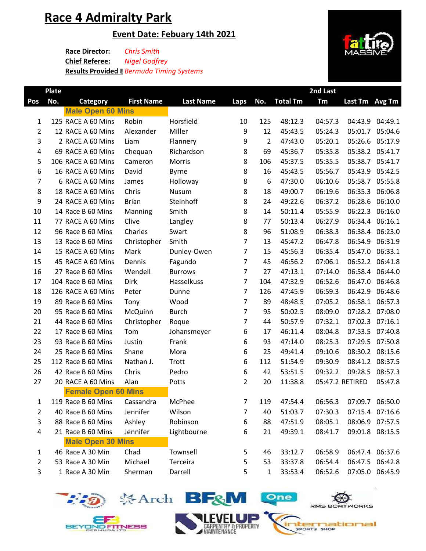# **Race 4 Admiralty Park**

**Plate** 

### **Event Date: Febuary 14th 2021**

**Race Director:** *Chris Smith* **Chief Referee: Results Provided B Bermuda Timing Systems** *Nigel Godfrey*

| Pos            | No. | <b>Category</b>            | <b>First Name</b> | <b>Last Name</b> | Laps           | No.            | <b>Total Tm</b> | Tm      | Last Tm Avg Tm  |                 |
|----------------|-----|----------------------------|-------------------|------------------|----------------|----------------|-----------------|---------|-----------------|-----------------|
|                |     | <b>Male Open 60 Mins</b>   |                   |                  |                |                |                 |         |                 |                 |
| 1              |     | 125 RACE A 60 Mins         | Robin             | Horsfield        | 10             | 125            | 48:12.3         | 04:57.3 | 04:43.9         | 04:49.1         |
| $\overline{2}$ |     | 12 RACE A 60 Mins          | Alexander         | Miller           | 9              | 12             | 45:43.5         | 05:24.3 | 05:01.7         | 05:04.6         |
| 3              |     | 2 RACE A 60 Mins           | Liam              | Flannery         | 9              | $\overline{2}$ | 47:43.0         | 05:20.1 | 05:26.6         | 05:17.9         |
| 4              |     | 69 RACE A 60 Mins          | Chequan           | Richardson       | 8              | 69             | 45:36.7         | 05:35.8 |                 | 05:38.2 05:41.7 |
| 5              |     | 106 RACE A 60 Mins         | Cameron           | Morris           | 8              | 106            | 45:37.5         | 05:35.5 | 05:38.7         | 05:41.7         |
| 6              |     | 16 RACE A 60 Mins          | David             | <b>Byrne</b>     | 8              | 16             | 45:43.5         | 05:56.7 | 05:43.9         | 05:42.5         |
| $\overline{7}$ |     | 6 RACE A 60 Mins           | James             | Holloway         | 8              | 6              | 47:30.0         | 06:10.6 | 05:58.7         | 05:55.8         |
| 8              |     | 18 RACE A 60 Mins          | Chris             | Nusum            | 8              | 18             | 49:00.7         | 06:19.6 | 06:35.3         | 06:06.8         |
| 9              |     | 24 RACE A 60 Mins          | <b>Brian</b>      | Steinhoff        | 8              | 24             | 49:22.6         | 06:37.2 | 06:28.6         | 06:10.0         |
| 10             |     | 14 Race B 60 Mins          | Manning           | Smith            | 8              | 14             | 50:11.4         | 05:55.9 | 06:22.3         | 06:16.0         |
| 11             |     | 77 RACE A 60 Mins          | Clive             | Langley          | 8              | 77             | 50:13.4         | 06:27.9 | 06:34.4         | 06:16.1         |
| 12             |     | 96 Race B 60 Mins          | Charles           | Swart            | 8              | 96             | 51:08.9         | 06:38.3 | 06:38.4         | 06:23.0         |
| 13             |     | 13 Race B 60 Mins          | Christopher       | Smith            | $\overline{7}$ | 13             | 45:47.2         | 06:47.8 | 06:54.9         | 06:31.9         |
| 14             |     | 15 RACE A 60 Mins          | Mark              | Dunley-Owen      | $\overline{7}$ | 15             | 45:56.3         | 06:35.4 | 05:47.0         | 06:33.1         |
| 15             |     | 45 RACE A 60 Mins          | Dennis            | Fagundo          | $\overline{7}$ | 45             | 46:56.2         | 07:06.1 | 06:52.2         | 06:41.8         |
| 16             |     | 27 Race B 60 Mins          | Wendell           | <b>Burrows</b>   | $\overline{7}$ | 27             | 47:13.1         | 07:14.0 | 06:58.4         | 06:44.0         |
| 17             |     | 104 Race B 60 Mins         | Dirk              | Hasselkuss       | $\overline{7}$ | 104            | 47:32.9         | 06:52.6 | 06:47.0         | 06:46.8         |
| 18             |     | 126 RACE A 60 Mins         | Peter             | Dunne            | $\overline{7}$ | 126            | 47:45.9         | 06:59.3 | 06:42.9         | 06:48.6         |
| 19             |     | 89 Race B 60 Mins          | Tony              | Wood             | $\overline{7}$ | 89             | 48:48.5         | 07:05.2 | 06:58.1         | 06:57.3         |
| 20             |     | 95 Race B 60 Mins          | McQuinn           | <b>Burch</b>     | $\overline{7}$ | 95             | 50:02.5         | 08:09.0 | 07:28.2 07:08.0 |                 |
| 21             |     | 44 Race B 60 Mins          | Christopher       | Roque            | 7              | 44             | 50:57.9         | 07:32.1 | 07:02.3         | 07:16.1         |
| 22             |     | 17 Race B 60 Mins          | Tom               | Johansmeyer      | 6              | 17             | 46:11.4         | 08:04.8 | 07:53.5         | 07:40.8         |
| 23             |     | 93 Race B 60 Mins          | Justin            | Frank            | 6              | 93             | 47:14.0         | 08:25.3 |                 | 07:29.5 07:50.8 |
| 24             |     | 25 Race B 60 Mins          | Shane             | Mora             | 6              | 25             | 49:41.4         | 09:10.6 |                 | 08:30.2 08:15.6 |
| 25             |     | 112 Race B 60 Mins         | Nathan J.         | Trott            | 6              | 112            | 51:54.9         | 09:30.9 | 08:41.2         | 08:37.5         |
| 26             |     | 42 Race B 60 Mins          | Chris             | Pedro            | 6              | 42             | 53:51.5         | 09:32.2 | 09:28.5         | 08:57.3         |
| 27             |     | 20 RACE A 60 Mins          | Alan              | Potts            | $\overline{2}$ | 20             | 11:38.8         |         | 05:47.2 RETIRED | 05:47.8         |
|                |     | <b>Female Open 60 Mins</b> |                   |                  |                |                |                 |         |                 |                 |
| $\mathbf{1}$   |     | 119 Race B 60 Mins         | Cassandra         | McPhee           | 7              | 119            | 47:54.4         | 06:56.3 | 07:09.7 06:50.0 |                 |
| $\overline{2}$ |     | 40 Race B 60 Mins          | Jennifer          | Wilson           | 7              | 40             | 51:03.7         | 07:30.3 |                 | 07:15.4 07:16.6 |
| 3              |     | 88 Race B 60 Mins          | Ashley            | Robinson         | 6              | 88             | 47:51.9         | 08:05.1 |                 | 08:06.9 07:57.5 |
| 4              |     | 21 Race B 60 Mins          | Jennifer          | Lightbourne      | 6              | 21             | 49:39.1         | 08:41.7 |                 | 09:01.8 08:15.5 |
|                |     | <b>Male Open 30 Mins</b>   |                   |                  |                |                |                 |         |                 |                 |
| $\mathbf{1}$   |     | 46 Race A 30 Min           | Chad              | Townsell         | 5              | 46             | 33:12.7         | 06:58.9 |                 | 06:47.4 06:37.6 |
| $\overline{2}$ |     | 53 Race A 30 Min           | Michael           | Terceira         | 5              | 53             | 33:37.8         | 06:54.4 |                 | 06:47.5 06:42.8 |
| 3              |     | 1 Race A 30 Min            | Sherman           | Darrell          | 5              | 1              | 33:53.4         | 06:52.6 |                 | 07:05.0 06:45.9 |



EF

**BEYOND FITNESS** 





CARPENTRY & PROPERTY







**2nd Last**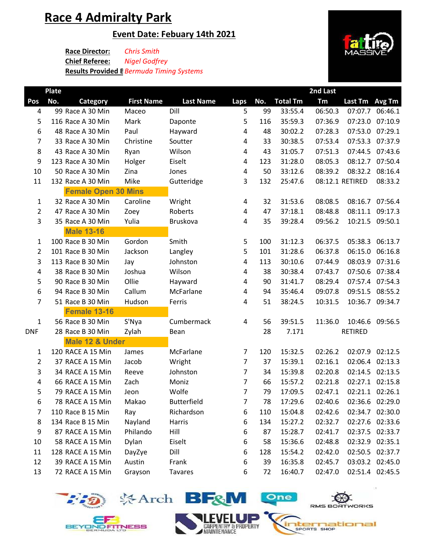# **Race 4 Admiralty Park**

### **Event Date: Febuary 14th 2021**

**Race Director:** *Chris Smith* **Chief Referee: Results Provided B** *Bermuda Timing Systems Nigel Godfrey*





YOND FITNESS







**iternational** SPORTS SHOP

One